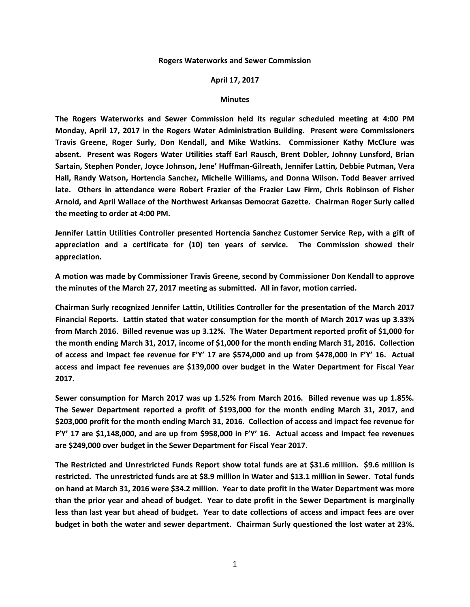## **Rogers Waterworks and Sewer Commission**

## **April 17, 2017**

## **Minutes**

**The Rogers Waterworks and Sewer Commission held its regular scheduled meeting at 4:00 PM Monday, April 17, 2017 in the Rogers Water Administration Building. Present were Commissioners Travis Greene, Roger Surly, Don Kendall, and Mike Watkins. Commissioner Kathy McClure was absent. Present was Rogers Water Utilities staff Earl Rausch, Brent Dobler, Johnny Lunsford, Brian Sartain, Stephen Ponder, Joyce Johnson, Jene' Huffman-Gilreath, Jennifer Lattin, Debbie Putman, Vera Hall, Randy Watson, Hortencia Sanchez, Michelle Williams, and Donna Wilson. Todd Beaver arrived late. Others in attendance were Robert Frazier of the Frazier Law Firm, Chris Robinson of Fisher Arnold, and April Wallace of the Northwest Arkansas Democrat Gazette. Chairman Roger Surly called the meeting to order at 4:00 PM.**

**Jennifer Lattin Utilities Controller presented Hortencia Sanchez Customer Service Rep, with a gift of appreciation and a certificate for (10) ten years of service. The Commission showed their appreciation.**

**A motion was made by Commissioner Travis Greene, second by Commissioner Don Kendall to approve the minutes of the March 27, 2017 meeting as submitted. All in favor, motion carried.**

**Chairman Surly recognized Jennifer Lattin, Utilities Controller for the presentation of the March 2017 Financial Reports. Lattin stated that water consumption for the month of March 2017 was up 3.33% from March 2016. Billed revenue was up 3.12%. The Water Department reported profit of \$1,000 for the month ending March 31, 2017, income of \$1,000 for the month ending March 31, 2016. Collection of access and impact fee revenue for F'Y' 17 are \$574,000 and up from \$478,000 in F'Y' 16. Actual access and impact fee revenues are \$139,000 over budget in the Water Department for Fiscal Year 2017.**

**Sewer consumption for March 2017 was up 1.52% from March 2016. Billed revenue was up 1.85%. The Sewer Department reported a profit of \$193,000 for the month ending March 31, 2017, and \$203,000 profit for the month ending March 31, 2016. Collection of access and impact fee revenue for F'Y' 17 are \$1,148,000, and are up from \$958,000 in F'Y' 16. Actual access and impact fee revenues are \$249,000 over budget in the Sewer Department for Fiscal Year 2017.**

**The Restricted and Unrestricted Funds Report show total funds are at \$31.6 million. \$9.6 million is restricted. The unrestricted funds are at \$8.9 million in Water and \$13.1 million in Sewer. Total funds on hand at March 31, 2016 were \$34.2 million. Year to date profit in the Water Department was more than the prior year and ahead of budget. Year to date profit in the Sewer Department is marginally less than last year but ahead of budget. Year to date collections of access and impact fees are over budget in both the water and sewer department. Chairman Surly questioned the lost water at 23%.**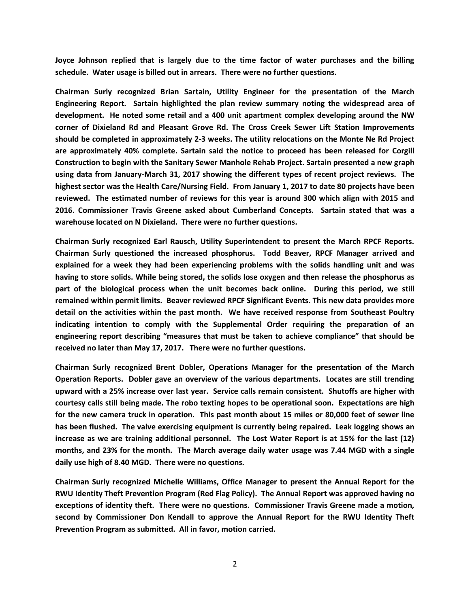**Joyce Johnson replied that is largely due to the time factor of water purchases and the billing schedule. Water usage is billed out in arrears. There were no further questions.**

**Chairman Surly recognized Brian Sartain, Utility Engineer for the presentation of the March Engineering Report. Sartain highlighted the plan review summary noting the widespread area of development. He noted some retail and a 400 unit apartment complex developing around the NW corner of Dixieland Rd and Pleasant Grove Rd. The Cross Creek Sewer Lift Station Improvements should be completed in approximately 2-3 weeks. The utility relocations on the Monte Ne Rd Project are approximately 40% complete. Sartain said the notice to proceed has been released for Corgill Construction to begin with the Sanitary Sewer Manhole Rehab Project. Sartain presented a new graph using data from January-March 31, 2017 showing the different types of recent project reviews. The highest sector was the Health Care/Nursing Field. From January 1, 2017 to date 80 projects have been reviewed. The estimated number of reviews for this year is around 300 which align with 2015 and 2016. Commissioner Travis Greene asked about Cumberland Concepts. Sartain stated that was a warehouse located on N Dixieland. There were no further questions.**

**Chairman Surly recognized Earl Rausch, Utility Superintendent to present the March RPCF Reports. Chairman Surly questioned the increased phosphorus. Todd Beaver, RPCF Manager arrived and explained for a week they had been experiencing problems with the solids handling unit and was having to store solids. While being stored, the solids lose oxygen and then release the phosphorus as part of the biological process when the unit becomes back online. During this period, we still remained within permit limits. Beaver reviewed RPCF Significant Events. This new data provides more detail on the activities within the past month. We have received response from Southeast Poultry indicating intention to comply with the Supplemental Order requiring the preparation of an engineering report describing "measures that must be taken to achieve compliance" that should be received no later than May 17, 2017. There were no further questions.**

**Chairman Surly recognized Brent Dobler, Operations Manager for the presentation of the March Operation Reports. Dobler gave an overview of the various departments. Locates are still trending upward with a 25% increase over last year. Service calls remain consistent. Shutoffs are higher with courtesy calls still being made. The robo texting hopes to be operational soon. Expectations are high for the new camera truck in operation. This past month about 15 miles or 80,000 feet of sewer line has been flushed. The valve exercising equipment is currently being repaired. Leak logging shows an increase as we are training additional personnel. The Lost Water Report is at 15% for the last (12) months, and 23% for the month. The March average daily water usage was 7.44 MGD with a single daily use high of 8.40 MGD. There were no questions.** 

**Chairman Surly recognized Michelle Williams, Office Manager to present the Annual Report for the RWU Identity Theft Prevention Program (Red Flag Policy). The Annual Report was approved having no exceptions of identity theft. There were no questions. Commissioner Travis Greene made a motion, second by Commissioner Don Kendall to approve the Annual Report for the RWU Identity Theft Prevention Program as submitted. All in favor, motion carried.**